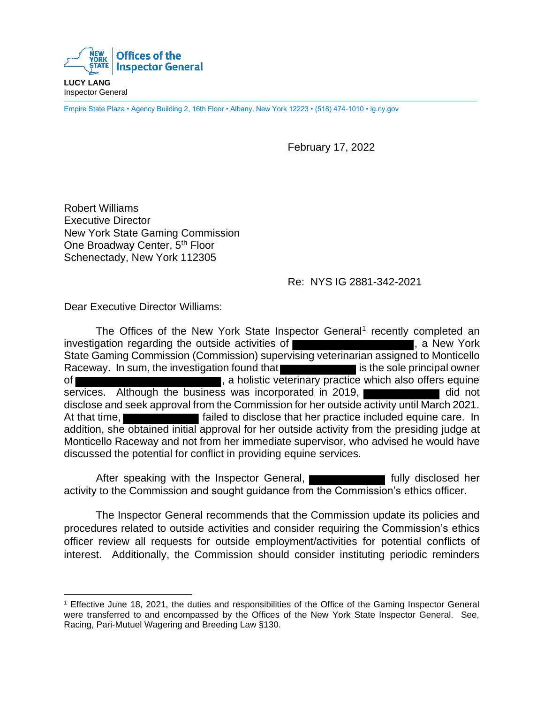

**LUCY LANG** Inspector General

Empire State Plaza • Agency Building 2, 16th Floor • Albany, New York 12223 • (518) 474-1010 • ig.ny.gov

February 17, 2022

Robert Williams Executive Director New York State Gaming Commission One Broadway Center, 5<sup>th</sup> Floor Schenectady, New York 112305

## Re: NYS IG 2881-342-2021

Dear Executive Director Williams:

The Offices of the New York State Inspector General<sup>1</sup> recently completed an investigation regarding the outside activities of **Figure 2018**, a New York State Gaming Commission (Commission) supervising veterinarian assigned to Monticello Raceway. In sum, the investigation found that **interest is the sole principal owner** of **the contract of the set of the contract of the contract of the contract of the contract of the contract of the contract of the contract of the contract of the contract of the contract of the contract of the contract of** services. Although the business was incorporated in 2019, disclose and seek approval from the Commission for her outside activity until March 2021. At that time, **Fig. 2.1. At that time, Fig. 2.1. At that time, Fig. 2.1. At that time, Fig. 2.1.** In addition, she obtained initial approval for her outside activity from the presiding judge at Monticello Raceway and not from her immediate supervisor, who advised he would have discussed the potential for conflict in providing equine services.

After speaking with the Inspector General, **Fig. 2016** fully disclosed her activity to the Commission and sought guidance from the Commission's ethics officer.

The Inspector General recommends that the Commission update its policies and procedures related to outside activities and consider requiring the Commission's ethics officer review all requests for outside employment/activities for potential conflicts of interest. Additionally, the Commission should consider instituting periodic reminders

<sup>1</sup> Effective June 18, 2021, the duties and responsibilities of the Office of the Gaming Inspector General were transferred to and encompassed by the Offices of the New York State Inspector General. See, Racing, Pari-Mutuel Wagering and Breeding Law §130.